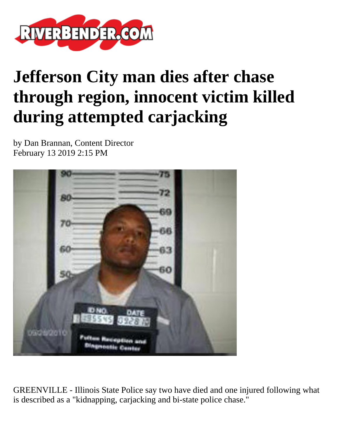

## **Jefferson City man dies after chase through region, innocent victim killed during attempted carjacking**

by Dan Brannan, Content Director February 13 2019 2:15 PM



GREENVILLE - Illinois State Police say two have died and one injured following what is described as a "kidnapping, carjacking and bi-state police chase."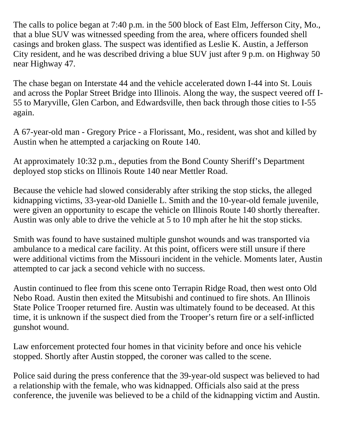The calls to police began at 7:40 p.m. in the 500 block of East Elm, Jefferson City, Mo., that a blue SUV was witnessed speeding from the area, where officers founded shell casings and broken glass. The suspect was identified as Leslie K. Austin, a Jefferson City resident, and he was described driving a blue SUV just after 9 p.m. on Highway 50 near Highway 47.

The chase began on Interstate 44 and the vehicle accelerated down I-44 into St. Louis and across the Poplar Street Bridge into Illinois. Along the way, the suspect veered off I-55 to Maryville, Glen Carbon, and Edwardsville, then back through those cities to I-55 again.

A 67-year-old man - Gregory Price - a Florissant, Mo., resident, was shot and killed by Austin when he attempted a carjacking on Route 140.

At approximately 10:32 p.m., deputies from the Bond County Sheriff's Department deployed stop sticks on Illinois Route 140 near Mettler Road.

Because the vehicle had slowed considerably after striking the stop sticks, the alleged kidnapping victims, 33-year-old Danielle L. Smith and the 10-year-old female juvenile, were given an opportunity to escape the vehicle on Illinois Route 140 shortly thereafter. Austin was only able to drive the vehicle at 5 to 10 mph after he hit the stop sticks.

Smith was found to have sustained multiple gunshot wounds and was transported via ambulance to a medical care facility. At this point, officers were still unsure if there were additional victims from the Missouri incident in the vehicle. Moments later, Austin attempted to car jack a second vehicle with no success.

Austin continued to flee from this scene onto Terrapin Ridge Road, then west onto Old Nebo Road. Austin then exited the Mitsubishi and continued to fire shots. An Illinois State Police Trooper returned fire. Austin was ultimately found to be deceased. At this time, it is unknown if the suspect died from the Trooper's return fire or a self-inflicted gunshot wound.

Law enforcement protected four homes in that vicinity before and once his vehicle stopped. Shortly after Austin stopped, the coroner was called to the scene.

Police said during the press conference that the 39-year-old suspect was believed to had a relationship with the female, who was kidnapped. Officials also said at the press conference, the juvenile was believed to be a child of the kidnapping victim and Austin.